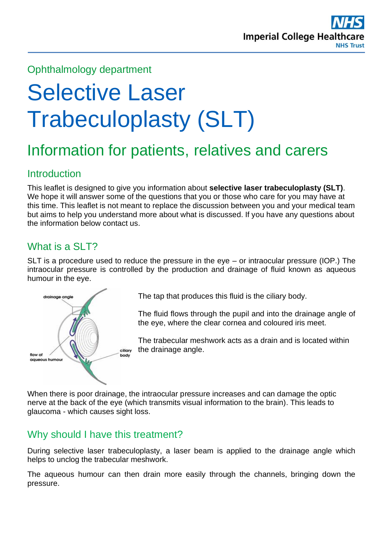

# Ophthalmology department

# Selective Laser Trabeculoplasty (SLT)

# Information for patients, relatives and carers

# **Introduction**

This leaflet is designed to give you information about **selective laser trabeculoplasty (SLT)**. We hope it will answer some of the questions that you or those who care for you may have at this time. This leaflet is not meant to replace the discussion between you and your medical team but aims to help you understand more about what is discussed. If you have any questions about the information below contact us.

# What is a SLT?

SLT is a procedure used to reduce the pressure in the eye – or intraocular pressure (IOP.) The intraocular pressure is controlled by the production and drainage of fluid known as aqueous humour in the eye.



The tap that produces this fluid is the ciliary body.

The fluid flows through the pupil and into the drainage angle of the eye, where the clear cornea and coloured iris meet.

The trabecular meshwork acts as a drain and is located within the drainage angle.

When there is poor drainage, the intraocular pressure increases and can damage the optic nerve at the back of the eye (which transmits visual information to the brain). This leads to glaucoma - which causes sight loss.

# Why should I have this treatment?

During selective laser trabeculoplasty, a laser beam is applied to the drainage angle which helps to unclog the trabecular meshwork.

The aqueous humour can then drain more easily through the channels, bringing down the pressure.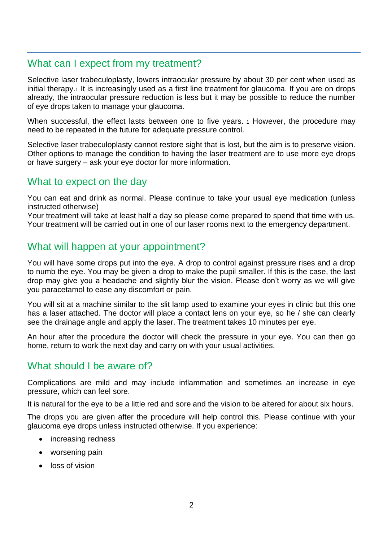## What can I expect from my treatment?

Selective laser trabeculoplasty, lowers intraocular pressure by about 30 per cent when used as initial therapy.<sub>1</sub> It is increasingly used as a first line treatment for glaucoma. If you are on drops already, the intraocular pressure reduction is less but it may be possible to reduce the number of eye drops taken to manage your glaucoma.

When successful, the effect lasts between one to five years. 1 However, the procedure may need to be repeated in the future for adequate pressure control.

Selective laser trabeculoplasty cannot restore sight that is lost, but the aim is to preserve vision. Other options to manage the condition to having the laser treatment are to use more eye drops or have surgery – ask your eye doctor for more information.

#### What to expect on the day

You can eat and drink as normal. Please continue to take your usual eye medication (unless instructed otherwise)

Your treatment will take at least half a day so please come prepared to spend that time with us. Your treatment will be carried out in one of our laser rooms next to the emergency department.

#### What will happen at your appointment?

You will have some drops put into the eye. A drop to control against pressure rises and a drop to numb the eye. You may be given a drop to make the pupil smaller. If this is the case, the last drop may give you a headache and slightly blur the vision. Please don't worry as we will give you paracetamol to ease any discomfort or pain.

You will sit at a machine similar to the slit lamp used to examine your eyes in clinic but this one has a laser attached. The doctor will place a contact lens on your eye, so he / she can clearly see the drainage angle and apply the laser. The treatment takes 10 minutes per eye.

An hour after the procedure the doctor will check the pressure in your eye. You can then go home, return to work the next day and carry on with your usual activities.

#### What should I be aware of?

Complications are mild and may include inflammation and sometimes an increase in eye pressure, which can feel sore.

It is natural for the eye to be a little red and sore and the vision to be altered for about six hours.

The drops you are given after the procedure will help control this. Please continue with your glaucoma eye drops unless instructed otherwise. If you experience:

- increasing redness
- worsening pain
- loss of vision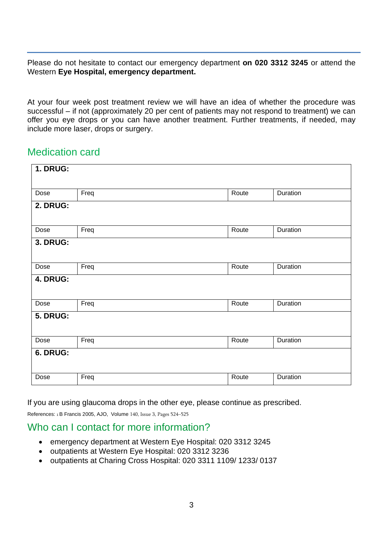Please do not hesitate to contact our emergency department **on 020 3312 3245** or attend the Western **Eye Hospital, emergency department.** 

At your four week post treatment review we will have an idea of whether the procedure was successful – if not (approximately 20 per cent of patients may not respond to treatment) we can offer you eye drops or you can have another treatment. Further treatments, if needed, may include more laser, drops or surgery.

## Medication card

| <b>1. DRUG:</b> |      |       |          |
|-----------------|------|-------|----------|
|                 |      |       |          |
| Dose            | Freq | Route | Duration |
| 2. DRUG:        |      |       |          |
|                 |      |       |          |
| Dose            | Freq | Route | Duration |
| <b>3. DRUG:</b> |      |       |          |
|                 |      |       |          |
| Dose            | Freq | Route | Duration |
| 4. DRUG:        |      |       |          |
|                 |      |       |          |
| Dose            | Freq | Route | Duration |
| <b>5. DRUG:</b> |      |       |          |
|                 |      |       |          |
| Dose            | Freq | Route | Duration |
| 6. DRUG:        |      |       |          |
|                 |      |       |          |
| Dose            | Freq | Route | Duration |

If you are using glaucoma drops in the other eye, please continue as prescribed.

References: 1 B Francis 2005, AJO, Volume 140, Issue 3, Pages 524–525

#### Who can I contact for more information?

- emergency department at Western Eye Hospital: 020 3312 3245
- outpatients at Western Eye Hospital: 020 3312 3236
- outpatients at Charing Cross Hospital: 020 3311 1109/ 1233/ 0137